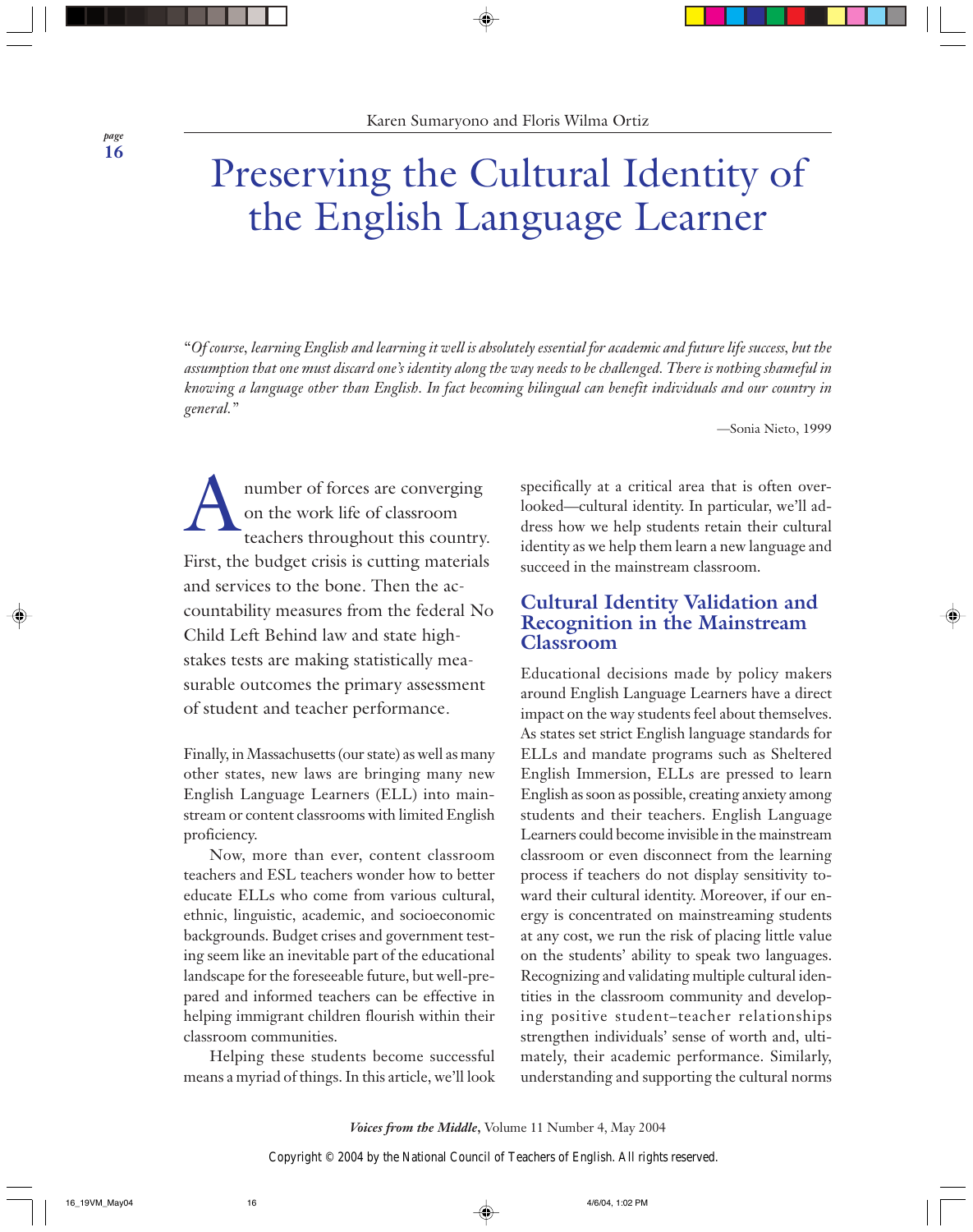## Preserving the Cultural Identity of the English Language Learner

"*Of course, learning English and learning it well is absolutely essential for academic and future life success, but the assumption that one must discard one's identity along the way needs to be challenged. There is nothing shameful in knowing a language other than English. In fact becoming bilingual can benefit individuals and our country in general."*

—Sonia Nieto, 1999

A number of forces are converging on the work life of classroom teachers throughout this country. First, the budget crisis is cutting materials and services to the bone. Then the accountability measures from the federal No Child Left Behind law and state highstakes tests are making statistically measurable outcomes the primary assessment of student and teacher performance.

Finally, in Massachusetts (our state) as well as many other states, new laws are bringing many new English Language Learners (ELL) into mainstream or content classrooms with limited English proficiency.

Now, more than ever, content classroom teachers and ESL teachers wonder how to better educate ELLs who come from various cultural, ethnic, linguistic, academic, and socioeconomic backgrounds. Budget crises and government testing seem like an inevitable part of the educational landscape for the foreseeable future, but well-prepared and informed teachers can be effective in helping immigrant children flourish within their classroom communities.

Helping these students become successful means a myriad of things. In this article, we'll look

specifically at a critical area that is often overlooked—cultural identity. In particular, we'll address how we help students retain their cultural identity as we help them learn a new language and succeed in the mainstream classroom.

## **Cultural Identity Validation and Recognition in the Mainstream Classroom**

Educational decisions made by policy makers around English Language Learners have a direct impact on the way students feel about themselves. As states set strict English language standards for ELLs and mandate programs such as Sheltered English Immersion, ELLs are pressed to learn English as soon as possible, creating anxiety among students and their teachers. English Language Learners could become invisible in the mainstream classroom or even disconnect from the learning process if teachers do not display sensitivity toward their cultural identity. Moreover, if our energy is concentrated on mainstreaming students at any cost, we run the risk of placing little value on the students' ability to speak two languages. Recognizing and validating multiple cultural identities in the classroom community and developing positive student–teacher relationships strengthen individuals' sense of worth and, ultimately, their academic performance. Similarly, understanding and supporting the cultural norms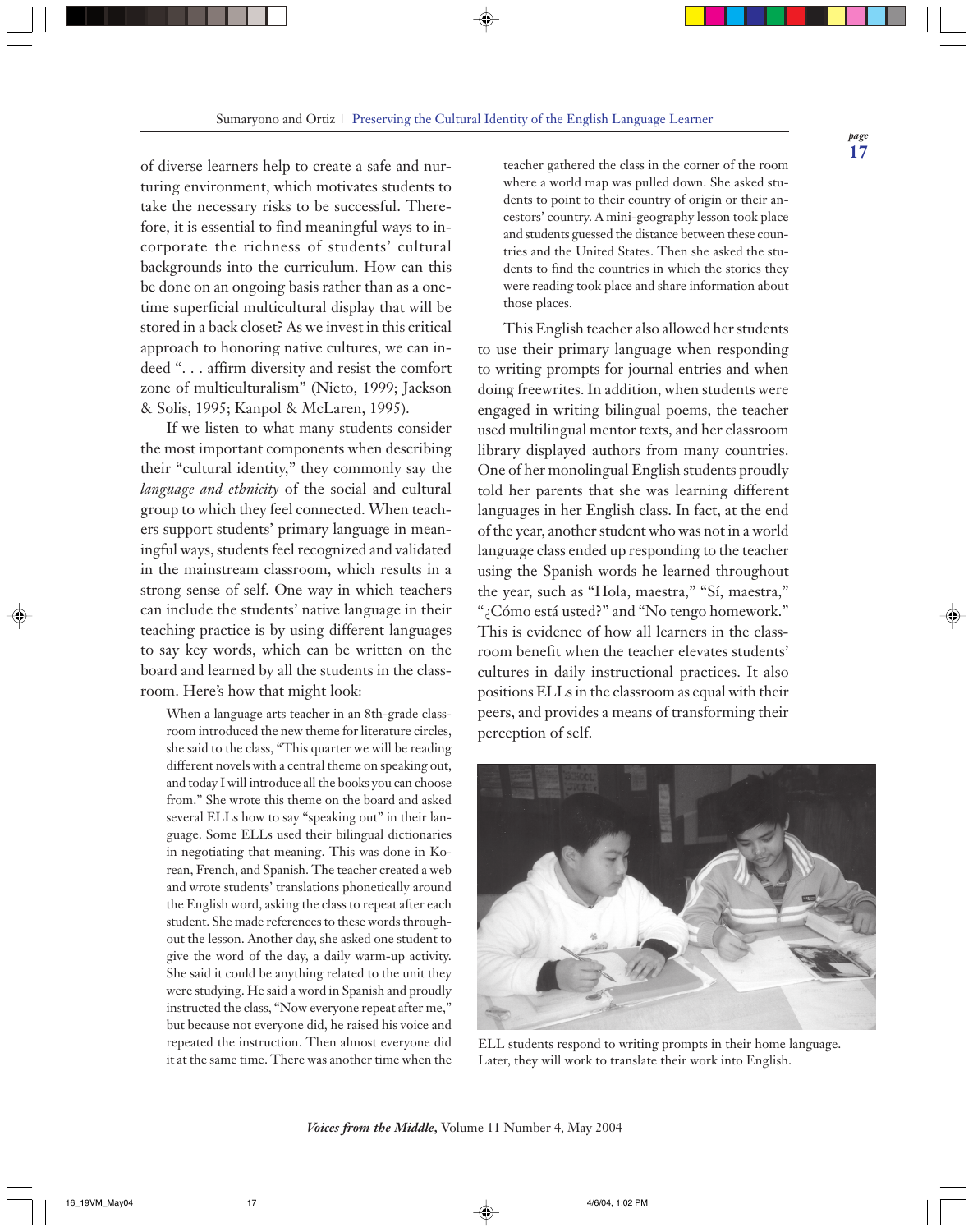of diverse learners help to create a safe and nurturing environment, which motivates students to take the necessary risks to be successful. Therefore, it is essential to find meaningful ways to incorporate the richness of students' cultural backgrounds into the curriculum. How can this be done on an ongoing basis rather than as a onetime superficial multicultural display that will be stored in a back closet? As we invest in this critical approach to honoring native cultures, we can indeed ". . . affirm diversity and resist the comfort zone of multiculturalism" (Nieto, 1999; Jackson & Solis, 1995; Kanpol & McLaren, 1995).

If we listen to what many students consider the most important components when describing their "cultural identity," they commonly say the *language and ethnicity* of the social and cultural group to which they feel connected. When teachers support students' primary language in meaningful ways, students feel recognized and validated in the mainstream classroom, which results in a strong sense of self. One way in which teachers can include the students' native language in their teaching practice is by using different languages to say key words, which can be written on the board and learned by all the students in the classroom. Here's how that might look:

When a language arts teacher in an 8th-grade classroom introduced the new theme for literature circles, she said to the class, "This quarter we will be reading different novels with a central theme on speaking out, and today I will introduce all the books you can choose from." She wrote this theme on the board and asked several ELLs how to say "speaking out" in their language. Some ELLs used their bilingual dictionaries in negotiating that meaning. This was done in Korean, French, and Spanish. The teacher created a web and wrote students' translations phonetically around the English word, asking the class to repeat after each student. She made references to these words throughout the lesson. Another day, she asked one student to give the word of the day, a daily warm-up activity. She said it could be anything related to the unit they were studying. He said a word in Spanish and proudly instructed the class, "Now everyone repeat after me," but because not everyone did, he raised his voice and repeated the instruction. Then almost everyone did it at the same time. There was another time when the

teacher gathered the class in the corner of the room where a world map was pulled down. She asked students to point to their country of origin or their ancestors' country. A mini-geography lesson took place and students guessed the distance between these countries and the United States. Then she asked the students to find the countries in which the stories they were reading took place and share information about those places.

This English teacher also allowed her students to use their primary language when responding to writing prompts for journal entries and when doing freewrites. In addition, when students were engaged in writing bilingual poems, the teacher used multilingual mentor texts, and her classroom library displayed authors from many countries. One of her monolingual English students proudly told her parents that she was learning different languages in her English class. In fact, at the end of the year, another student who was not in a world language class ended up responding to the teacher using the Spanish words he learned throughout the year, such as "Hola, maestra," "Sí, maestra," "¿Cómo está usted?" and "No tengo homework." This is evidence of how all learners in the classroom benefit when the teacher elevates students' cultures in daily instructional practices. It also positions ELLs in the classroom as equal with their peers, and provides a means of transforming their perception of self.



ELL students respond to writing prompts in their home language. Later, they will work to translate their work into English.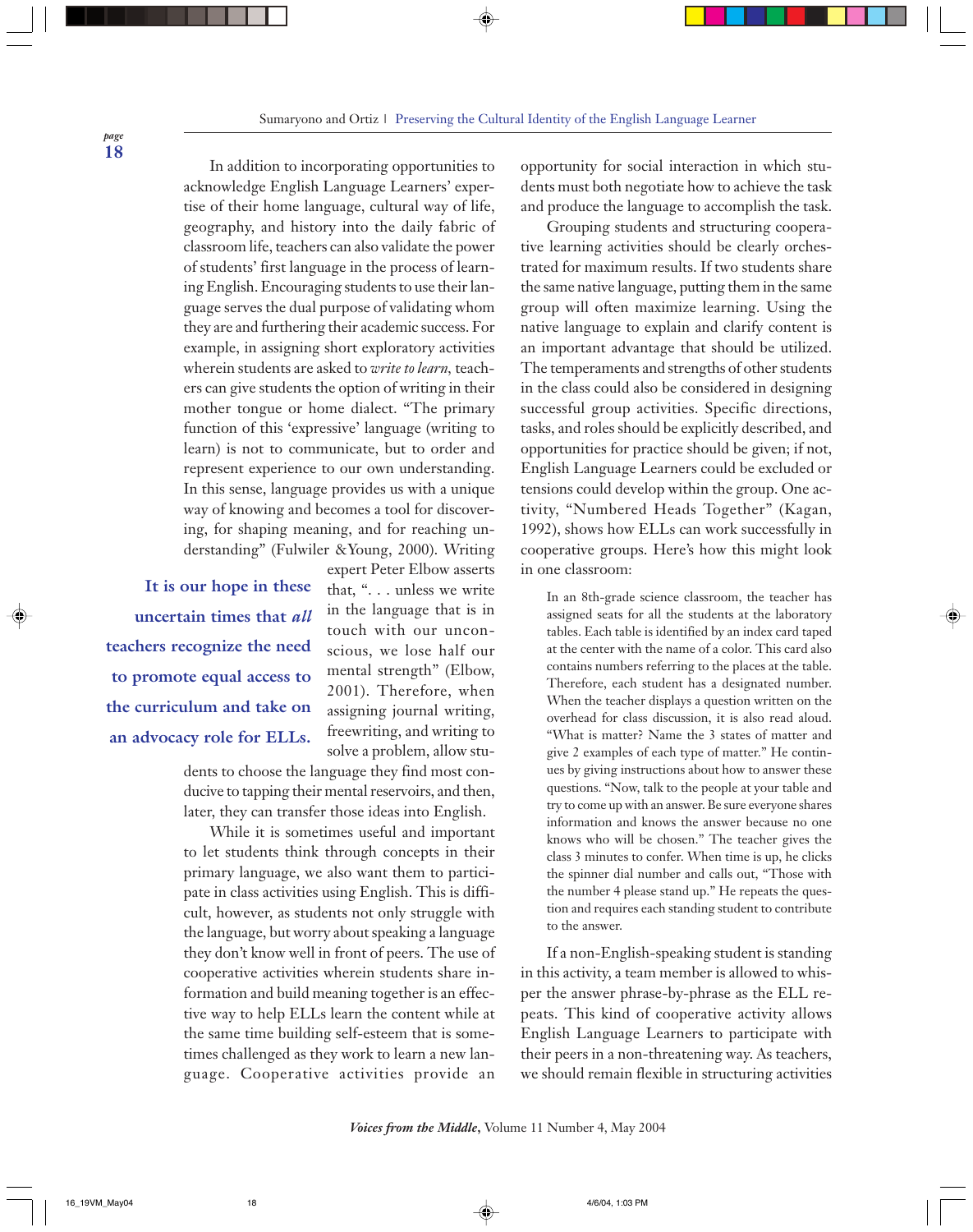In addition to incorporating opportunities to acknowledge English Language Learners' expertise of their home language, cultural way of life, geography, and history into the daily fabric of classroom life, teachers can also validate the power of students' first language in the process of learning English. Encouraging students to use their language serves the dual purpose of validating whom they are and furthering their academic success. For example, in assigning short exploratory activities wherein students are asked to *write to learn,* teachers can give students the option of writing in their mother tongue or home dialect. "The primary function of this 'expressive' language (writing to learn) is not to communicate, but to order and represent experience to our own understanding. In this sense, language provides us with a unique way of knowing and becomes a tool for discovering, for shaping meaning, and for reaching understanding" (Fulwiler &Young, 2000). Writing

**It is our hope in these uncertain times that** *all* **teachers recognize the need to promote equal access to the curriculum and take on an advocacy role for ELLs.**

expert Peter Elbow asserts that, ". . . unless we write in the language that is in touch with our unconscious, we lose half our mental strength" (Elbow, 2001). Therefore, when assigning journal writing, freewriting, and writing to solve a problem, allow stu-

dents to choose the language they find most conducive to tapping their mental reservoirs, and then, later, they can transfer those ideas into English.

While it is sometimes useful and important to let students think through concepts in their primary language, we also want them to participate in class activities using English. This is difficult, however, as students not only struggle with the language, but worry about speaking a language they don't know well in front of peers. The use of cooperative activities wherein students share information and build meaning together is an effective way to help ELLs learn the content while at the same time building self-esteem that is sometimes challenged as they work to learn a new language. Cooperative activities provide an

opportunity for social interaction in which students must both negotiate how to achieve the task and produce the language to accomplish the task.

Grouping students and structuring cooperative learning activities should be clearly orchestrated for maximum results. If two students share the same native language, putting them in the same group will often maximize learning. Using the native language to explain and clarify content is an important advantage that should be utilized. The temperaments and strengths of other students in the class could also be considered in designing successful group activities. Specific directions, tasks, and roles should be explicitly described, and opportunities for practice should be given; if not, English Language Learners could be excluded or tensions could develop within the group. One activity, "Numbered Heads Together" (Kagan, 1992), shows how ELLs can work successfully in cooperative groups. Here's how this might look in one classroom:

In an 8th-grade science classroom, the teacher has assigned seats for all the students at the laboratory tables. Each table is identified by an index card taped at the center with the name of a color. This card also contains numbers referring to the places at the table. Therefore, each student has a designated number. When the teacher displays a question written on the overhead for class discussion, it is also read aloud. "What is matter? Name the 3 states of matter and give 2 examples of each type of matter." He continues by giving instructions about how to answer these questions. "Now, talk to the people at your table and try to come up with an answer. Be sure everyone shares information and knows the answer because no one knows who will be chosen." The teacher gives the class 3 minutes to confer. When time is up, he clicks the spinner dial number and calls out, "Those with the number 4 please stand up." He repeats the question and requires each standing student to contribute to the answer.

If a non-English-speaking student is standing in this activity, a team member is allowed to whisper the answer phrase-by-phrase as the ELL repeats. This kind of cooperative activity allows English Language Learners to participate with their peers in a non-threatening way. As teachers, we should remain flexible in structuring activities